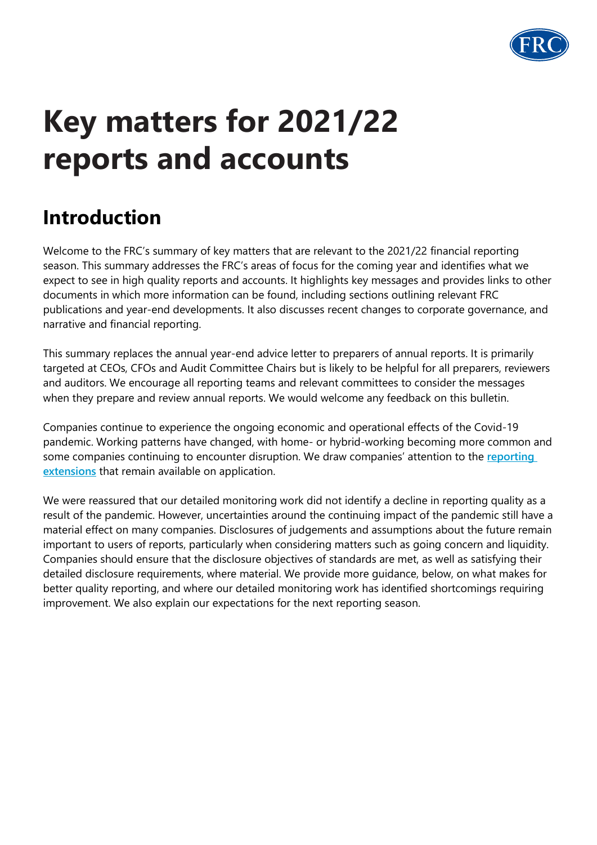

# **Key matters for 2021/22 reports and accounts**

# **Introduction**

Welcome to the FRC's summary of key matters that are relevant to the 2021/22 financial reporting season. This summary addresses the FRC's areas of focus for the coming year and identifies what we expect to see in high quality reports and accounts. It highlights key messages and provides links to other documents in which more information can be found, including sections outlining relevant FRC publications and year-end developments. It also discusses recent changes to corporate governance, and narrative and financial reporting.

This summary replaces the annual year-end advice letter to preparers of annual reports. It is primarily targeted at CEOs, CFOs and Audit Committee Chairs but is likely to be helpful for all preparers, reviewers and auditors. We encourage all reporting teams and relevant committees to consider the messages when they prepare and review annual reports. We would welcome any feedback on this bulletin.

Companies continue to experience the ongoing economic and operational effects of the Covid-19 pandemic. Working patterns have changed, with home- or hybrid-working becoming more common and some companies continuing to encounter disruption. We draw companies' attention to the **[reporting](https://www.frc.org.uk/about-the-frc/covid-19/covid19-joint-statement-26th-march-2020)  [extensions](https://www.frc.org.uk/about-the-frc/covid-19/covid19-joint-statement-26th-march-2020)** that remain available on application.

We were reassured that our detailed monitoring work did not identify a decline in reporting quality as a result of the pandemic. However, uncertainties around the continuing impact of the pandemic still have a material effect on many companies. Disclosures of judgements and assumptions about the future remain important to users of reports, particularly when considering matters such as going concern and liquidity. Companies should ensure that the disclosure objectives of standards are met, as well as satisfying their detailed disclosure requirements, where material. We provide more guidance, below, on what makes for better quality reporting, and where our detailed monitoring work has identified shortcomings requiring improvement. We also explain our expectations for the next reporting season.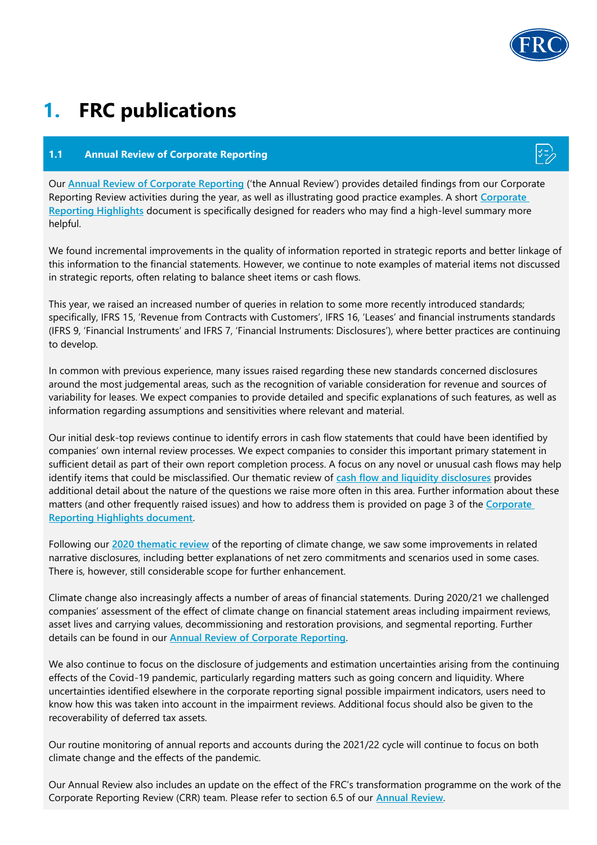

# **1. FRC publications**

### **1.1 Annual Review of Corporate Reporting**

Our **[Annual Review of Corporate Reporting](http://www.frc.org.uk/document-library/corporate-reporting-review/2021/annual-review-of-corporate-reporting-2021-summary)** ('the Annual Review') provides detailed findings from our Corporate Reporting Review activities during the year, as well as illustrating good practice examples. A short **[Corporate](http://www.frc.org.uk/document-library/corporate-reporting-review/2021/annual-review-of-corporate-reporting-2021-summary)  [Reporting Highlights](http://www.frc.org.uk/document-library/corporate-reporting-review/2021/annual-review-of-corporate-reporting-2021-summary)** document is specifically designed for readers who may find a high-level summary more helpful.

We found incremental improvements in the quality of information reported in strategic reports and better linkage of this information to the financial statements. However, we continue to note examples of material items not discussed in strategic reports, often relating to balance sheet items or cash flows.

This year, we raised an increased number of queries in relation to some more recently introduced standards; specifically, IFRS 15, 'Revenue from Contracts with Customers', IFRS 16, 'Leases' and financial instruments standards (IFRS 9, 'Financial Instruments' and IFRS 7, 'Financial Instruments: Disclosures'), where better practices are continuing to develop.

In common with previous experience, many issues raised regarding these new standards concerned disclosures around the most judgemental areas, such as the recognition of variable consideration for revenue and sources of variability for leases. We expect companies to provide detailed and specific explanations of such features, as well as information regarding assumptions and sensitivities where relevant and material.

Our initial desk-top reviews continue to identify errors in cash flow statements that could have been identified by companies' own internal review processes. We expect companies to consider this important primary statement in sufficient detail as part of their own report completion process. A focus on any novel or unusual cash flows may help identify items that could be misclassified. Our thematic review of **[cash flow and liquidity disclosures](https://www.frc.org.uk/getattachment/291351f7-db47-4d36-8dbc-7fcdea764d73/Cash-flow-review-FINAL.pdf)** provides additional detail about the nature of the questions we raise more often in this area. Further information about these matters (and other frequently raised issues) and how to address them is provided on page 3 of the **[Corporate](http://www.frc.org.uk/document-library/corporate-reporting-review/2021/annual-review-of-corporate-reporting-2021-summary)  [Reporting Highlights document](http://www.frc.org.uk/document-library/corporate-reporting-review/2021/annual-review-of-corporate-reporting-2021-summary)**.

Following our **[2020 thematic review](https://www.frc.org.uk/getattachment/6d8c6574-e07f-41a9-b5bb-d3fea57a3ab9/Reporting-FINAL.pdf)** of the reporting of climate change, we saw some improvements in related narrative disclosures, including better explanations of net zero commitments and scenarios used in some cases. There is, however, still considerable scope for further enhancement.

Climate change also increasingly affects a number of areas of financial statements. During 2020/21 we challenged companies' assessment of the effect of climate change on financial statement areas including impairment reviews, asset lives and carrying values, decommissioning and restoration provisions, and segmental reporting. Further details can be found in our **[Annual Review of Corporate Reporting](http://www.frc.org.uk/document-library/corporate-reporting-review/2021/annual-review-of-corporate-reporting-2021-summary)**.

We also continue to focus on the disclosure of judgements and estimation uncertainties arising from the continuing effects of the Covid-19 pandemic, particularly regarding matters such as going concern and liquidity. Where uncertainties identified elsewhere in the corporate reporting signal possible impairment indicators, users need to know how this was taken into account in the impairment reviews. Additional focus should also be given to the recoverability of deferred tax assets.

Our routine monitoring of annual reports and accounts during the 2021/22 cycle will continue to focus on both climate change and the effects of the pandemic.

Our Annual Review also includes an update on the effect of the FRC's transformation programme on the work of the Corporate Reporting Review (CRR) team. Please refer to section 6.5 of our **[Annual Review](http://www.frc.org.uk/document-library/corporate-reporting-review/2021/annual-review-of-corporate-reporting-2021-summary)**.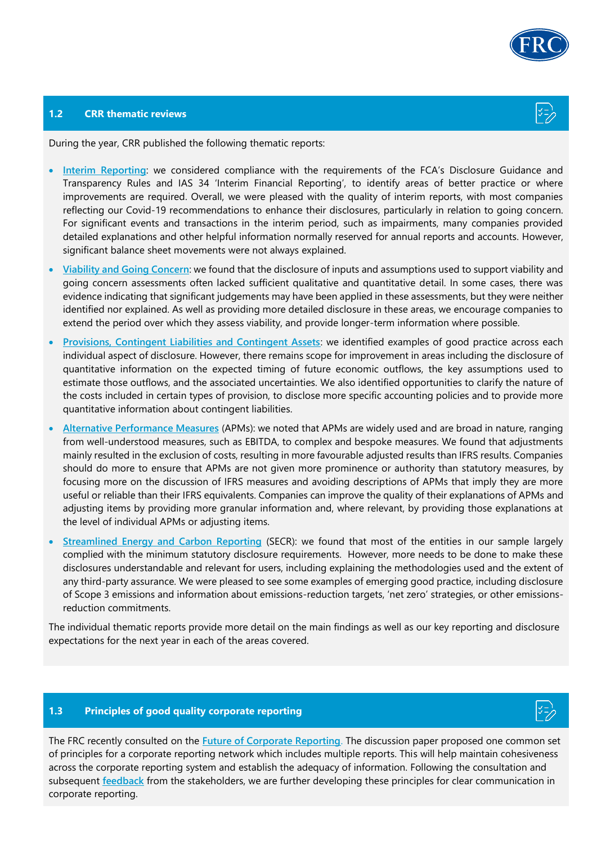

#### **1.2 CRR thematic reviews**

During the year, CRR published the following thematic reports:

- **[Interim Reporting](https://www.frc.org.uk/getattachment/3631dc8c-2c7d-4ff7-8d56-f2d91afeda73/Interim-Thematic-Review-FINAL.pdf)**: we considered compliance with the requirements of the FCA's Disclosure Guidance and Transparency Rules and IAS 34 'Interim Financial Reporting', to identify areas of better practice or where improvements are required. Overall, we were pleased with the quality of interim reports, with most companies reflecting our Covid-19 recommendations to enhance their disclosures, particularly in relation to going concern. For significant events and transactions in the interim period, such as impairments, many companies provided detailed explanations and other helpful information normally reserved for annual reports and accounts. However, significant balance sheet movements were not always explained.
- **[Viability and Going Concern](https://www.frc.org.uk/getattachment/2b213ba8-b950-49e4-838d-d919cbcbd6e6/Going-Concern-and-Viability-Review.pdf)**: we found that the disclosure of inputs and assumptions used to support viability and going concern assessments often lacked sufficient qualitative and quantitative detail. In some cases, there was evidence indicating that significant judgements may have been applied in these assessments, but they were neither identified nor explained. As well as providing more detailed disclosure in these areas, we encourage companies to extend the period over which they assess viability, and provide longer-term information where possible.
- **[Provisions, Contingent Liabilities and Contingent Assets](https://www.frc.org.uk/getattachment/d7386e32-190f-4599-b763-6fe7c702f579/FRC-Thematic-Report-IAS37_October-2021.pdf)**: we identified examples of good practice across each individual aspect of disclosure. However, there remains scope for improvement in areas including the disclosure of quantitative information on the expected timing of future economic outflows, the key assumptions used to estimate those outflows, and the associated uncertainties. We also identified opportunities to clarify the nature of the costs included in certain types of provision, to disclose more specific accounting policies and to provide more quantitative information about contingent liabilities.
- **[Alternative Performance Measures](https://www.frc.org.uk/getattachment/74ed739d-2237-4d3e-a543-af8ada9b0e42/FRC-Thematic-Review-on-APMs-October-2021.pdf)** (APMs): we noted that APMs are widely used and are broad in nature, ranging from well-understood measures, such as EBITDA, to complex and bespoke measures. We found that adjustments mainly resulted in the exclusion of costs, resulting in more favourable adjusted results than IFRS results. Companies should do more to ensure that APMs are not given more prominence or authority than statutory measures, by focusing more on the discussion of IFRS measures and avoiding descriptions of APMs that imply they are more useful or reliable than their IFRS equivalents. Companies can improve the quality of their explanations of APMs and adjusting items by providing more granular information and, where relevant, by providing those explanations at the level of individual APMs or adjusting items.
- **[Streamlined Energy and Carbon Reporting](https://www.frc.org.uk/getattachment/4d7be3a3-5b3a-4ada-8af0-913e83db6335/FRC-SECR-Thematic-Report-2021.pdf)** (SECR): we found that most of the entities in our sample largely complied with the minimum statutory disclosure requirements. However, more needs to be done to make these disclosures understandable and relevant for users, including explaining the methodologies used and the extent of any third-party assurance. We were pleased to see some examples of emerging good practice, including disclosure of Scope 3 emissions and information about emissions-reduction targets, 'net zero' strategies, or other emissionsreduction commitments.

The individual thematic reports provide more detail on the main findings as well as our key reporting and disclosure expectations for the next year in each of the areas covered.

### **1.3 Principles of good quality corporate reporting**



The FRC recently consulted on the **[Future of Corporate Reporting](https://www.frc.org.uk/getattachment/90cb0ae1-b7ac-4f1e-8de0-8e63deaa0089/-;.aspx)**. The discussion paper proposed one common set of principles for a corporate reporting network which includes multiple reports. This will help maintain cohesiveness across the corporate reporting system and establish the adequacy of information. Following the consultation and subsequent **[feedback](https://www.frc.org.uk/getattachment/dd02e72e-fac2-4c4d-a80a-988be58e54e4/Feedback-Statement-A-Matter-of-Principles-The-Future-of-Corporate-Reporting-2021.pdf)** from the stakeholders, we are further developing these principles for clear communication in corporate reporting.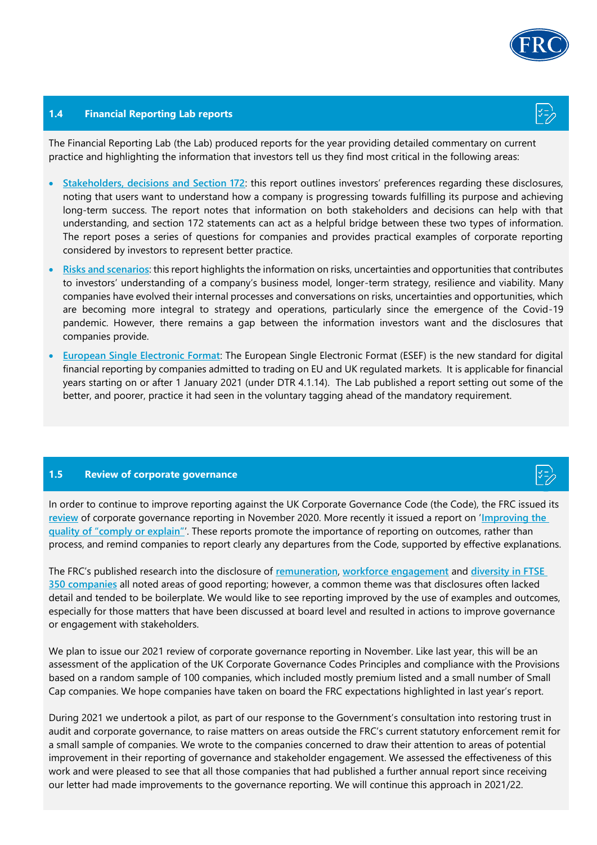

#### **1.4 Financial Reporting Lab reports**

The Financial Reporting Lab (the Lab) produced reports for the year providing detailed commentary on current practice and highlighting the information that investors tell us they find most critical in the following areas:

- **[Stakeholders, decisions and Section 172](https://www.frc.org.uk/getattachment/d0470ab4-f134-4584-9f54-a48a8bfdc62d/FRC-LAB-Stakeholders-Report-s172.pdf)**: this report outlines investors' preferences regarding these disclosures, noting that users want to understand how a company is progressing towards fulfilling its purpose and achieving long-term success. The report notes that information on both stakeholders and decisions can help with that understanding, and section 172 statements can act as a helpful bridge between these two types of information. The report poses a series of questions for companies and provides practical examples of corporate reporting considered by investors to represent better practice.
- **[Risks and scenarios](https://www.frc.org.uk/news/september-2021/what-do-investors-want-to-understand-about-risks,)**: this report highlights the information on risks, uncertainties and opportunities that contributes to investors' understanding of a company's business model, longer-term strategy, resilience and viability. Many companies have evolved their internal processes and conversations on risks, uncertainties and opportunities, which are becoming more integral to strategy and operations, particularly since the emergence of the Covid-19 pandemic. However, there remains a gap between the information investors want and the disclosures that companies provide.
- **[European Single Electronic Format](https://www.frc.org.uk/getattachment/cfbe8822-9254-4f97-a6fd-ac4e24b271c2/FRCLab-Structured-Reporting-DTR-ESEF-Study_October-2021.pdf)**: The European Single Electronic Format (ESEF) is the new standard for digital financial reporting by companies admitted to trading on EU and UK regulated markets. It is applicable for financial years starting on or after 1 January 2021 (under DTR 4.1.14). The Lab published a report setting out some of the better, and poorer, practice it had seen in the voluntary tagging ahead of the mandatory requirement.

#### **1.5 Review of corporate governance**

In order to continue to improve reporting against the UK Corporate Governance Code (the Code), the FRC issued its **[review](https://www.frc.org.uk/getattachment/c22f7296-0839-420e-ae03-bdce3e157702/Governance-Report-2020-2611.pdf)** of corporate governance reporting in November 2020. More recently it issued a report on '**[Improving the](https://www.frc.org.uk/getattachment/6a4c93cf-cf93-4b33-89e9-4c42ae36b594/Improving-the-Quality-of-Comply-or-Explain-Reporting.pdf)  [quality of "comply or explain"](https://www.frc.org.uk/getattachment/6a4c93cf-cf93-4b33-89e9-4c42ae36b594/Improving-the-Quality-of-Comply-or-Explain-Reporting.pdf)**'. These reports promote the importance of reporting on outcomes, rather than process, and remind companies to report clearly any departures from the Code, supported by effective explanations.

The FRC's published research into the disclosure of **[remuneration](https://www.frc.org.uk/getattachment/c9347fef-ac65-41f7-85e5-43723c71e448/FRC-UoP_Remuneration-Research-Report_May-2021.pdf)**, **[workforce engagement](https://www.frc.org.uk/getattachment/56bdd5ed-3b2d-4a6f-a62b-979910a90a10/FRC-Workforce-Engagement-Report_May-2021.pdf)** and **[diversity in FTSE](https://www.frc.org.uk/getattachment/3cc05eae-2024-45d8-b14c-abb2ac7497aa/FRC-Board-Diversity-and-Effectiveness-in-FTSE-350-Companies.pdf)  350 [companies](https://www.frc.org.uk/getattachment/3cc05eae-2024-45d8-b14c-abb2ac7497aa/FRC-Board-Diversity-and-Effectiveness-in-FTSE-350-Companies.pdf)** all noted areas of good reporting; however, a common theme was that disclosures often lacked detail and tended to be boilerplate. We would like to see reporting improved by the use of examples and outcomes, especially for those matters that have been discussed at board level and resulted in actions to improve governance or engagement with stakeholders.

We plan to issue our 2021 review of corporate governance reporting in November. Like last year, this will be an assessment of the application of the UK Corporate Governance Codes Principles and compliance with the Provisions based on a random sample of 100 companies, which included mostly premium listed and a small number of Small Cap companies. We hope companies have taken on board the FRC expectations highlighted in last year's report.

During 2021 we undertook a pilot, as part of our response to the Government's consultation into restoring trust in audit and corporate governance, to raise matters on areas outside the FRC's current statutory enforcement remit for a small sample of companies. We wrote to the companies concerned to draw their attention to areas of potential improvement in their reporting of governance and stakeholder engagement. We assessed the effectiveness of this work and were pleased to see that all those companies that had published a further annual report since receiving our letter had made improvements to the governance reporting. We will continue this approach in 2021/22.



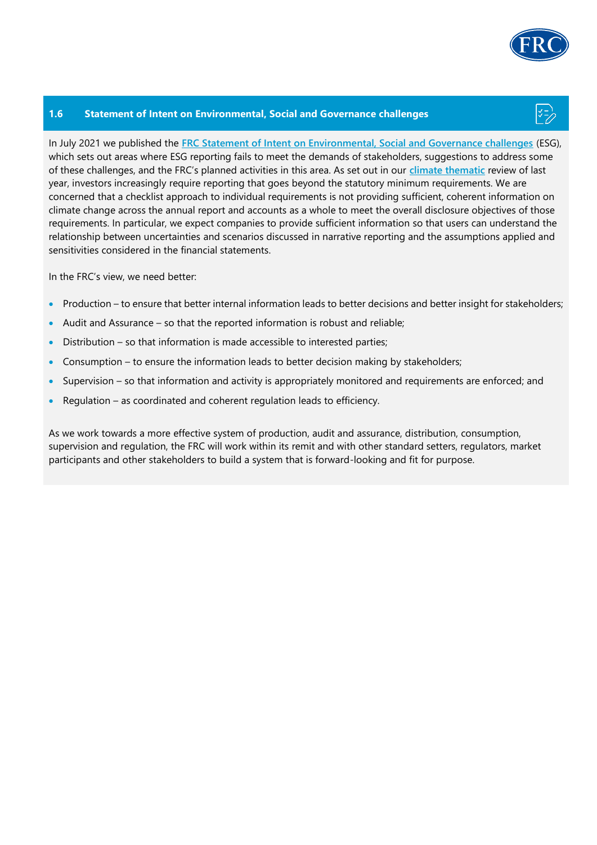

#### **1.6 Statement of Intent on Environmental, Social and Governance challenges**

In July 2021 we published the **[FRC Statement of Intent on Environmental, Social and Governance challenges](https://www.frc.org.uk/getattachment/691f28fa-4af4-49d7-a4f5-49ad7a2db532/FRC-LAB-ESG-Paper_2021.pdf)** (ESG), which sets out areas where ESG reporting fails to meet the demands of stakeholders, suggestions to address some of these challenges, and the FRC's planned activities in this area. As set out in our **[climate thematic](https://www.frc.org.uk/getattachment/ab63c220-6e2b-47e6-924e-8f369512e0a6/Summary-FINAL.pdf)** review of last year, investors increasingly require reporting that goes beyond the statutory minimum requirements. We are concerned that a checklist approach to individual requirements is not providing sufficient, coherent information on climate change across the annual report and accounts as a whole to meet the overall disclosure objectives of those requirements. In particular, we expect companies to provide sufficient information so that users can understand the relationship between uncertainties and scenarios discussed in narrative reporting and the assumptions applied and sensitivities considered in the financial statements.

In the FRC's view, we need better:

- Production to ensure that better internal information leads to better decisions and better insight for stakeholders;
- Audit and Assurance so that the reported information is robust and reliable;
- Distribution so that information is made accessible to interested parties;
- Consumption to ensure the information leads to better decision making by stakeholders;
- Supervision so that information and activity is appropriately monitored and requirements are enforced; and
- Regulation as coordinated and coherent regulation leads to efficiency.

As we work towards a more effective system of production, audit and assurance, distribution, consumption, supervision and regulation, the FRC will work within its remit and with other standard setters, regulators, market participants and other stakeholders to build a system that is forward-looking and fit for purpose.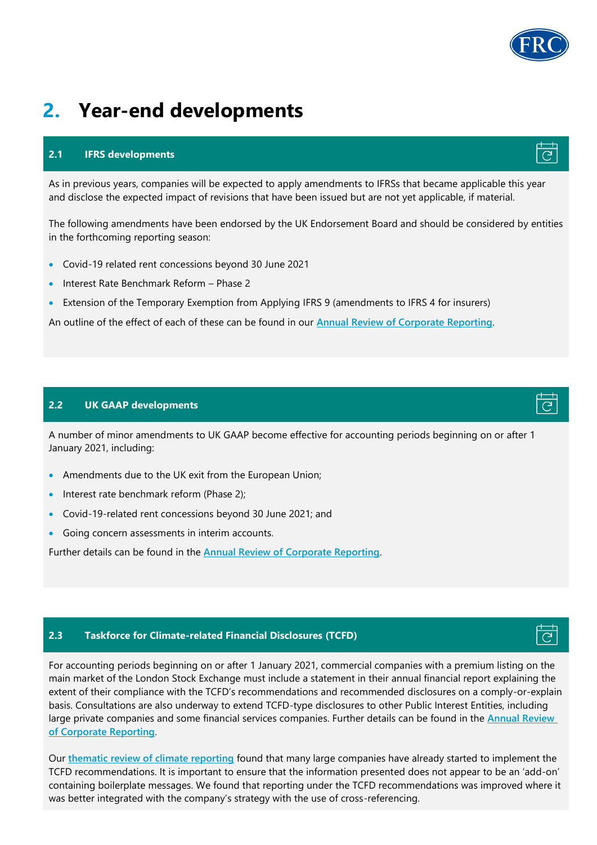# **2. Year-end developments**

### **2.1 IFRS developments**

As in previous years, companies will be expected to apply amendments to IFRSs that became applicable this year and disclose the expected impact of revisions that have been issued but are not yet applicable, if material.

The following amendments have been endorsed by the UK Endorsement Board and should be considered by entities in the forthcoming reporting season:

- Covid-19 related rent concessions beyond 30 June 2021
- Interest Rate Benchmark Reform Phase 2
- Extension of the Temporary Exemption from Applying IFRS 9 (amendments to IFRS 4 for insurers)

An outline of the effect of each of these can be found in our **[Annual Review of Corporate Reporting](http://www.frc.org.uk/document-library/corporate-reporting-review/2021/annual-review-of-corporate-reporting-2021-summary)**.

### **2.2 UK GAAP developments**

A number of minor amendments to UK GAAP become effective for accounting periods beginning on or after 1 January 2021, including:

- Amendments due to the UK exit from the European Union;
- Interest rate benchmark reform (Phase 2);
- Covid-19-related rent concessions beyond 30 June 2021; and
- Going concern assessments in interim accounts.

Further details can be found in the **[Annual Review of Corporate Reporting](http://www.frc.org.uk/document-library/corporate-reporting-review/2021/annual-review-of-corporate-reporting-2021-summary)**.

## **2.3 Taskforce for Climate-related Financial Disclosures (TCFD)**

For accounting periods beginning on or after 1 January 2021, commercial companies with a premium listing on the main market of the London Stock Exchange must include a statement in their annual financial report explaining the extent of their compliance with the TCFD's recommendations and recommended disclosures on a comply-or-explain basis. Consultations are also underway to extend TCFD-type disclosures to other Public Interest Entities, including large private companies and some financial services companies. Further details can be found in the **[Annual Review](http://www.frc.org.uk/document-library/corporate-reporting-review/2021/annual-review-of-corporate-reporting-2021-summary)  [of Corporate Reporting](http://www.frc.org.uk/document-library/corporate-reporting-review/2021/annual-review-of-corporate-reporting-2021-summary)**.

Our **[thematic review of climate reporting](https://www.frc.org.uk/getattachment/6d8c6574-e07f-41a9-b5bb-d3fea57a3ab9/Reporting-FINAL.pdf)** found that many large companies have already started to implement the TCFD recommendations. It is important to ensure that the information presented does not appear to be an 'add-on' containing boilerplate messages. We found that reporting under the TCFD recommendations was improved where it was better integrated with the company's strategy with the use of cross-referencing.







# $\overline{G}$